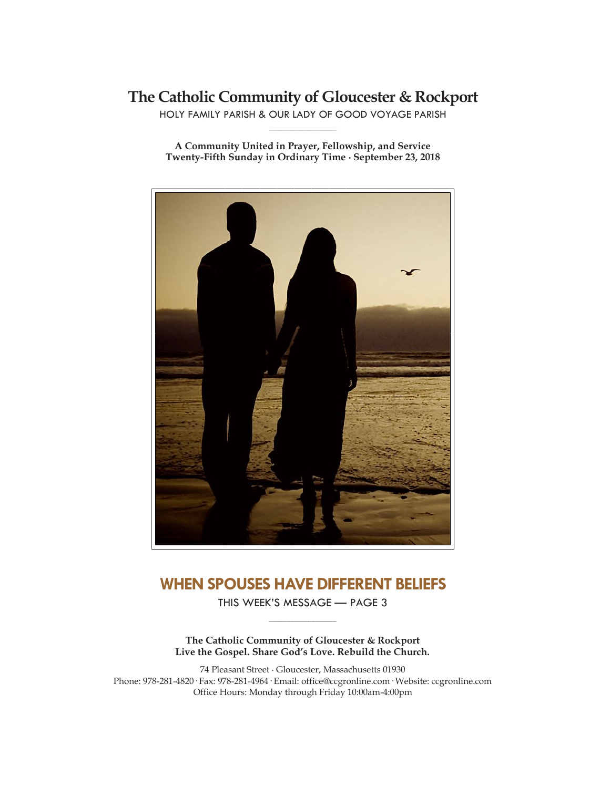## **The Catholic Community of Gloucester & Rockport**

HOLY FAMILY PARISH & OUR LADY OF GOOD VOYAGE PARISH **\_\_\_\_\_\_\_\_\_\_\_\_\_\_\_\_\_\_\_\_\_\_\_\_\_\_\_\_\_**

**A Community United in Prayer, Fellowship, and Service Twenty-Fifth Sunday in Ordinary Time ∙ September 23, 2018**



## **WHEN SPOUSES HAVE DIFFERENT BELIEFS**

THIS WEEK'S MESSAGE — PAGE 3 **\_\_\_\_\_\_\_\_\_\_\_\_\_\_\_\_\_\_\_\_\_\_\_\_\_\_\_\_\_**

**The Catholic Community of Gloucester & Rockport Live the Gospel. Share God's Love. Rebuild the Church.**

74 Pleasant Street ∙ Gloucester, Massachusetts 01930 Phone: 978-281-4820· Fax: 978-281-4964· Email: office@ccgronline.com· Website: ccgronline.com Office Hours: Monday through Friday 10:00am-4:00pm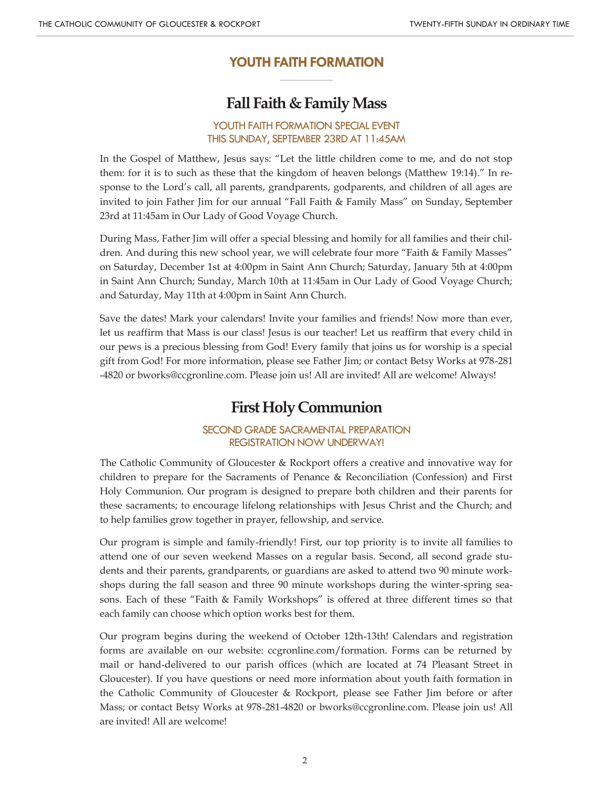## **YOUTH FAITH FORMATION \_\_\_\_\_\_\_\_\_\_\_\_\_\_\_\_\_\_\_\_\_**

# **Fall Faith & Family Mass**

#### YOUTH FAITH FORMATION SPECIAL EVENT THIS SUNDAY, SEPTEMBER 23RD AT 11:45AM

In the Gospel of Matthew, Jesus says: "Let the little children come to me, and do not stop them: for it is to such as these that the kingdom of heaven belongs (Matthew 19:14)." In response to the Lord's call, all parents, grandparents, godparents, and children of all ages are invited to join Father Jim for our annual "Fall Faith & Family Mass" on Sunday, September 23rd at 11:45am in Our Lady of Good Voyage Church.

During Mass, Father Jim will offer a special blessing and homily for all families and their children. And during this new school year, we will celebrate four more "Faith & Family Masses" on Saturday, December 1st at 4:00pm in Saint Ann Church; Saturday, January 5th at 4:00pm in Saint Ann Church; Sunday, March 10th at 11:45am in Our Lady of Good Voyage Church; and Saturday, May 11th at 4:00pm in Saint Ann Church.

Save the dates! Mark your calendars! Invite your families and friends! Now more than ever, let us reaffirm that Mass is our class! Jesus is our teacher! Let us reaffirm that every child in our pews is a precious blessing from God! Every family that joins us for worship is a special gift from God! For more information, please see Father Jim; or contact Betsy Works at 978-281 -4820 or bworks@ccgronline.com. Please join us! All are invited! All are welcome! Always!

# **First Holy Communion**

#### SECOND GRADE SACRAMENTAL PREPARATION REGISTRATION NOW UNDERWAY!

The Catholic Community of Gloucester & Rockport offers a creative and innovative way for children to prepare for the Sacraments of Penance & Reconciliation (Confession) and First Holy Communion. Our program is designed to prepare both children and their parents for these sacraments; to encourage lifelong relationships with Jesus Christ and the Church; and to help families grow together in prayer, fellowship, and service.

Our program is simple and family-friendly! First, our top priority is to invite all families to attend one of our seven weekend Masses on a regular basis. Second, all second grade students and their parents, grandparents, or guardians are asked to attend two 90 minute workshops during the fall season and three 90 minute workshops during the winter-spring seasons. Each of these "Faith & Family Workshops" is offered at three different times so that each family can choose which option works best for them.

Our program begins during the weekend of October 12th-13th! Calendars and registration forms are available on our website: ccgronline.com/formation. Forms can be returned by mail or hand-delivered to our parish offices (which are located at 74 Pleasant Street in Gloucester). If you have questions or need more information about youth faith formation in the Catholic Community of Gloucester & Rockport, please see Father Jim before or after Mass; or contact Betsy Works at 978-281-4820 or bworks@ccgronline.com. Please join us! All are invited! All are welcome!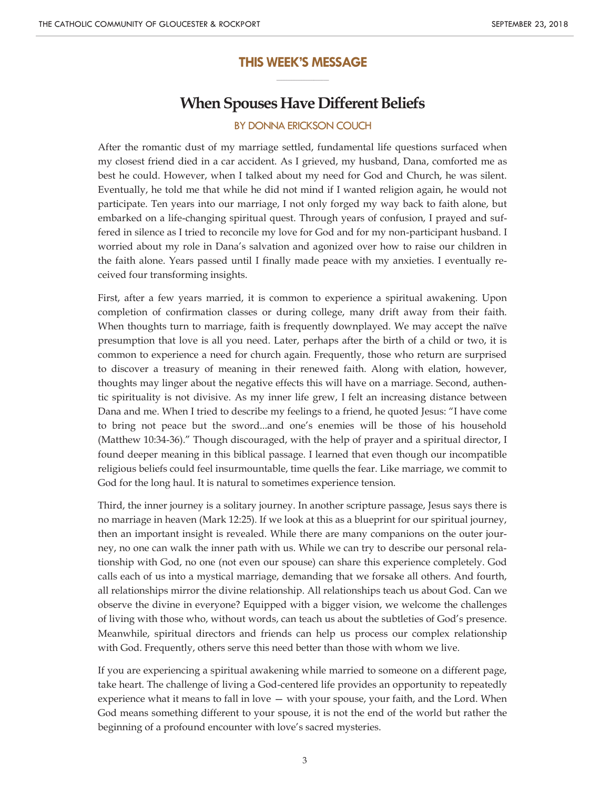#### **THIS WEEK'S MESSAGE \_\_\_\_\_\_\_\_\_\_\_\_\_\_\_\_\_\_\_\_\_**

## **When Spouses Have Different Beliefs**

## BY DONNA ERICKSON COUCH

After the romantic dust of my marriage settled, fundamental life questions surfaced when my closest friend died in a car accident. As I grieved, my husband, Dana, comforted me as best he could. However, when I talked about my need for God and Church, he was silent. Eventually, he told me that while he did not mind if I wanted religion again, he would not participate. Ten years into our marriage, I not only forged my way back to faith alone, but embarked on a life-changing spiritual quest. Through years of confusion, I prayed and suffered in silence as I tried to reconcile my love for God and for my non-participant husband. I worried about my role in Dana's salvation and agonized over how to raise our children in the faith alone. Years passed until I finally made peace with my anxieties. I eventually received four transforming insights.

First, after a few years married, it is common to experience a spiritual awakening. Upon completion of confirmation classes or during college, many drift away from their faith. When thoughts turn to marriage, faith is frequently downplayed. We may accept the naïve presumption that love is all you need. Later, perhaps after the birth of a child or two, it is common to experience a need for church again. Frequently, those who return are surprised to discover a treasury of meaning in their renewed faith. Along with elation, however, thoughts may linger about the negative effects this will have on a marriage. Second, authentic spirituality is not divisive. As my inner life grew, I felt an increasing distance between Dana and me. When I tried to describe my feelings to a friend, he quoted Jesus: "I have come to bring not peace but the sword...and one's enemies will be those of his household (Matthew 10:34-36)." Though discouraged, with the help of prayer and a spiritual director, I found deeper meaning in this biblical passage. I learned that even though our incompatible religious beliefs could feel insurmountable, time quells the fear. Like marriage, we commit to God for the long haul. It is natural to sometimes experience tension.

Third, the inner journey is a solitary journey. In another scripture passage, Jesus says there is no marriage in heaven (Mark 12:25). If we look at this as a blueprint for our spiritual journey, then an important insight is revealed. While there are many companions on the outer journey, no one can walk the inner path with us. While we can try to describe our personal relationship with God, no one (not even our spouse) can share this experience completely. God calls each of us into a mystical marriage, demanding that we forsake all others. And fourth, all relationships mirror the divine relationship. All relationships teach us about God. Can we observe the divine in everyone? Equipped with a bigger vision, we welcome the challenges of living with those who, without words, can teach us about the subtleties of God's presence. Meanwhile, spiritual directors and friends can help us process our complex relationship with God. Frequently, others serve this need better than those with whom we live.

If you are experiencing a spiritual awakening while married to someone on a different page, take heart. The challenge of living a God-centered life provides an opportunity to repeatedly experience what it means to fall in love — with your spouse, your faith, and the Lord. When God means something different to your spouse, it is not the end of the world but rather the beginning of a profound encounter with love's sacred mysteries.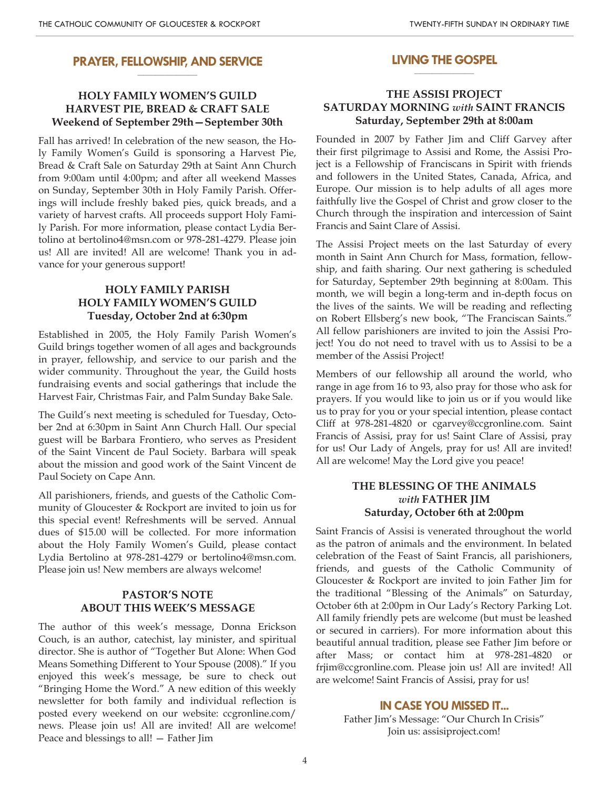#### **PRAYER, FELLOWSHIP, AND SERVICE \_\_\_\_\_\_\_\_\_\_\_\_\_\_\_\_\_\_\_\_**

## **HOLY FAMILY WOMEN'S GUILD HARVEST PIE, BREAD & CRAFT SALE Weekend of September 29th—September 30th**

Fall has arrived! In celebration of the new season, the Holy Family Women's Guild is sponsoring a Harvest Pie, Bread & Craft Sale on Saturday 29th at Saint Ann Church from 9:00am until 4:00pm; and after all weekend Masses on Sunday, September 30th in Holy Family Parish. Offerings will include freshly baked pies, quick breads, and a variety of harvest crafts. All proceeds support Holy Family Parish. For more information, please contact Lydia Bertolino at bertolino4@msn.com or 978-281-4279. Please join us! All are invited! All are welcome! Thank you in advance for your generous support!

### **HOLY FAMILY PARISH HOLY FAMILY WOMEN'S GUILD Tuesday, October 2nd at 6:30pm**

Established in 2005, the Holy Family Parish Women's Guild brings together women of all ages and backgrounds in prayer, fellowship, and service to our parish and the wider community. Throughout the year, the Guild hosts fundraising events and social gatherings that include the Harvest Fair, Christmas Fair, and Palm Sunday Bake Sale.

The Guild's next meeting is scheduled for Tuesday, October 2nd at 6:30pm in Saint Ann Church Hall. Our special guest will be Barbara Frontiero, who serves as President of the Saint Vincent de Paul Society. Barbara will speak about the mission and good work of the Saint Vincent de Paul Society on Cape Ann.

All parishioners, friends, and guests of the Catholic Community of Gloucester & Rockport are invited to join us for this special event! Refreshments will be served. Annual dues of \$15.00 will be collected. For more information about the Holy Family Women's Guild, please contact Lydia Bertolino at 978-281-4279 or bertolino4@msn.com. Please join us! New members are always welcome!

### **PASTOR'S NOTE ABOUT THIS WEEK'S MESSAGE**

The author of this week's message, Donna Erickson Couch, is an author, catechist, lay minister, and spiritual director. She is author of "Together But Alone: When God Means Something Different to Your Spouse (2008)." If you enjoyed this week's message, be sure to check out "Bringing Home the Word." A new edition of this weekly newsletter for both family and individual reflection is posted every weekend on our website: ccgronline.com/ news. Please join us! All are invited! All are welcome! Peace and blessings to all! — Father Jim

#### **LIVING THE GOSPEL \_\_\_\_\_\_\_\_\_\_\_\_\_\_\_\_\_\_\_\_**

### **THE ASSISI PROJECT SATURDAY MORNING** *with* **SAINT FRANCIS Saturday, September 29th at 8:00am**

Founded in 2007 by Father Jim and Cliff Garvey after their first pilgrimage to Assisi and Rome, the Assisi Project is a Fellowship of Franciscans in Spirit with friends and followers in the United States, Canada, Africa, and Europe. Our mission is to help adults of all ages more faithfully live the Gospel of Christ and grow closer to the Church through the inspiration and intercession of Saint Francis and Saint Clare of Assisi.

The Assisi Project meets on the last Saturday of every month in Saint Ann Church for Mass, formation, fellowship, and faith sharing. Our next gathering is scheduled for Saturday, September 29th beginning at 8:00am. This month, we will begin a long-term and in-depth focus on the lives of the saints. We will be reading and reflecting on Robert Ellsberg's new book, "The Franciscan Saints." All fellow parishioners are invited to join the Assisi Project! You do not need to travel with us to Assisi to be a member of the Assisi Project!

Members of our fellowship all around the world, who range in age from 16 to 93, also pray for those who ask for prayers. If you would like to join us or if you would like us to pray for you or your special intention, please contact Cliff at 978-281-4820 or cgarvey@ccgronline.com. Saint Francis of Assisi, pray for us! Saint Clare of Assisi, pray for us! Our Lady of Angels, pray for us! All are invited! All are welcome! May the Lord give you peace!

### **THE BLESSING OF THE ANIMALS** *with* **FATHER JIM Saturday, October 6th at 2:00pm**

Saint Francis of Assisi is venerated throughout the world as the patron of animals and the environment. In belated celebration of the Feast of Saint Francis, all parishioners, friends, and guests of the Catholic Community of Gloucester & Rockport are invited to join Father Jim for the traditional "Blessing of the Animals" on Saturday, October 6th at 2:00pm in Our Lady's Rectory Parking Lot. All family friendly pets are welcome (but must be leashed or secured in carriers). For more information about this beautiful annual tradition, please see Father Jim before or after Mass; or contact him at 978-281-4820 or frjim@ccgronline.com. Please join us! All are invited! All are welcome! Saint Francis of Assisi, pray for us!

#### **IN CASE YOU MISSED IT...**

Father Jim's Message: "Our Church In Crisis" Join us: assisiproject.com!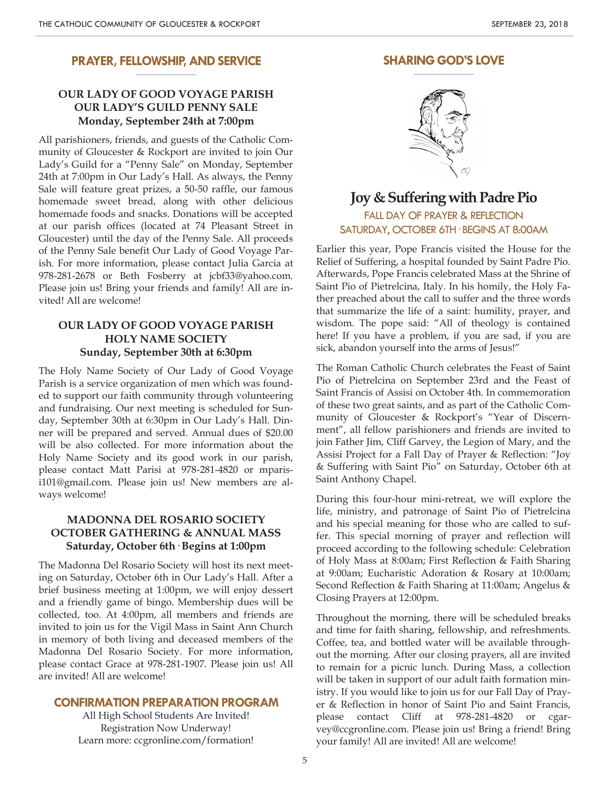#### **PRAYER, FELLOWSHIP, AND SERVICE \_\_\_\_\_\_\_\_\_\_\_\_\_\_\_\_\_\_\_\_**

#### **OUR LADY OF GOOD VOYAGE PARISH OUR LADY'S GUILD PENNY SALE Monday, September 24th at 7:00pm**

All parishioners, friends, and guests of the Catholic Community of Gloucester & Rockport are invited to join Our Lady's Guild for a "Penny Sale" on Monday, September 24th at 7:00pm in Our Lady's Hall. As always, the Penny Sale will feature great prizes, a 50-50 raffle, our famous homemade sweet bread, along with other delicious homemade foods and snacks. Donations will be accepted at our parish offices (located at 74 Pleasant Street in Gloucester) until the day of the Penny Sale. All proceeds of the Penny Sale benefit Our Lady of Good Voyage Parish. For more information, please contact Julia Garcia at 978-281-2678 or Beth Fosberry at jcbf33@yahoo.com. Please join us! Bring your friends and family! All are invited! All are welcome!

### **OUR LADY OF GOOD VOYAGE PARISH HOLY NAME SOCIETY Sunday, September 30th at 6:30pm**

The Holy Name Society of Our Lady of Good Voyage Parish is a service organization of men which was founded to support our faith community through volunteering and fundraising. Our next meeting is scheduled for Sunday, September 30th at 6:30pm in Our Lady's Hall. Dinner will be prepared and served. Annual dues of \$20.00 will be also collected. For more information about the Holy Name Society and its good work in our parish, please contact Matt Parisi at 978-281-4820 or mparisi101@gmail.com. Please join us! New members are always welcome!

#### **MADONNA DEL ROSARIO SOCIETY OCTOBER GATHERING & ANNUAL MASS Saturday, October 6th· Begins at 1:00pm**

The Madonna Del Rosario Society will host its next meeting on Saturday, October 6th in Our Lady's Hall. After a brief business meeting at 1:00pm, we will enjoy dessert and a friendly game of bingo. Membership dues will be collected, too. At 4:00pm, all members and friends are invited to join us for the Vigil Mass in Saint Ann Church in memory of both living and deceased members of the Madonna Del Rosario Society. For more information, please contact Grace at 978-281-1907. Please join us! All are invited! All are welcome!

#### **CONFIRMATION PREPARATION PROGRAM**

All High School Students Are Invited! Registration Now Underway! Learn more: ccgronline.com/formation!

#### **SHARING GOD'S LOVE \_\_\_\_\_\_\_\_\_\_\_\_\_\_\_\_\_\_\_\_**



## **Joy & Suffering with Padre Pio** FALL DAY OF PRAYER & REFLECTION SATURDAY, OCTOBER 6TH· BEGINS AT 8:00AM

Earlier this year, Pope Francis visited the House for the Relief of Suffering, a hospital founded by Saint Padre Pio. Afterwards, Pope Francis celebrated Mass at the Shrine of Saint Pio of Pietrelcina, Italy. In his homily, the Holy Father preached about the call to suffer and the three words that summarize the life of a saint: humility, prayer, and wisdom. The pope said: "All of theology is contained here! If you have a problem, if you are sad, if you are sick, abandon yourself into the arms of Jesus!"

The Roman Catholic Church celebrates the Feast of Saint Pio of Pietrelcina on September 23rd and the Feast of Saint Francis of Assisi on October 4th. In commemoration of these two great saints, and as part of the Catholic Community of Gloucester & Rockport's "Year of Discernment", all fellow parishioners and friends are invited to join Father Jim, Cliff Garvey, the Legion of Mary, and the Assisi Project for a Fall Day of Prayer & Reflection: "Joy & Suffering with Saint Pio" on Saturday, October 6th at Saint Anthony Chapel.

During this four-hour mini-retreat, we will explore the life, ministry, and patronage of Saint Pio of Pietrelcina and his special meaning for those who are called to suffer. This special morning of prayer and reflection will proceed according to the following schedule: Celebration of Holy Mass at 8:00am; First Reflection & Faith Sharing at 9:00am; Eucharistic Adoration & Rosary at 10:00am; Second Reflection & Faith Sharing at 11:00am; Angelus & Closing Prayers at 12:00pm.

Throughout the morning, there will be scheduled breaks and time for faith sharing, fellowship, and refreshments. Coffee, tea, and bottled water will be available throughout the morning. After our closing prayers, all are invited to remain for a picnic lunch. During Mass, a collection will be taken in support of our adult faith formation ministry. If you would like to join us for our Fall Day of Prayer & Reflection in honor of Saint Pio and Saint Francis, please contact Cliff at 978-281-4820 or cgarvey@ccgronline.com. Please join us! Bring a friend! Bring your family! All are invited! All are welcome!